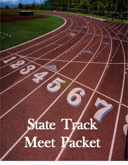# Packet of the contract of State Track Meet Packet

 $\frac{1}{\sqrt{2}}$ 

Meet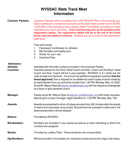# **WVSSAC State Track Meet Information**

| <b>Coaches Packets:</b>                                  | Coaches Packets will be available from 3:00 PM-6:00 PM on the evening your<br>class is allowed to compete and practice at the state meet as well from 8:00 AM-<br>10:00 AM on the morning of each classes State Track Meet, provided you have<br>submitted your room list online. Only coaches may pick up the packets at the<br>registration tables. The registration tables will be to the left of the ticket<br><b>booth near the stadium entrance.</b> Athletes are not to come to the registration<br>table area.                                                                                             |  |  |
|----------------------------------------------------------|--------------------------------------------------------------------------------------------------------------------------------------------------------------------------------------------------------------------------------------------------------------------------------------------------------------------------------------------------------------------------------------------------------------------------------------------------------------------------------------------------------------------------------------------------------------------------------------------------------------------|--|--|
|                                                          | They will include:<br><b>Participant Certificates for athletes</b><br>1.<br>2.<br>Bib Numbers and safety pins<br>3.<br>Roster for your use<br><b>Coaches Pass</b><br>4.                                                                                                                                                                                                                                                                                                                                                                                                                                            |  |  |
| <b>Admission:</b><br><b>Athletes:</b><br><b>Coaches:</b> | Admitted with their bib numbers provided in the Coaches Packet.<br>Coaches passes for the Girls' Head Coach and Asst. Coach and the Boys' Head<br>Coach and Asst. Coach will be in your packets. WVSSAC C & I cards are not<br>valid at state tournaments. If a school has additional assistant coaches that are<br><b>board approved,</b> then a request for an additional coach's pass must be made by<br>an administrator from you school by no later than 1:00 PM, Monday, May 16, 2022.<br>Email Mr. Wayne Ryan @ wayne.ryan@wyssac.org with the request and designate<br>as a boys or girls assistant coach. |  |  |
| Manager:                                                 | Please email Mr. Wayne Ryan at wayne.ryan@wyssac.org with these requests.<br>Specify girls or boys manager. Again deadline is: 1:00 PM, Monday, May 16th.                                                                                                                                                                                                                                                                                                                                                                                                                                                          |  |  |
| <b>Awards:</b>                                           | Awards are presented to all six (6) place winners thirty (30) minutes after the results<br>of said event have been announced. Should there be a protest in said event, the<br>award presentation will be delayed.                                                                                                                                                                                                                                                                                                                                                                                                  |  |  |
| <b>Batons:</b>                                           | Provided by WVSSAC                                                                                                                                                                                                                                                                                                                                                                                                                                                                                                                                                                                                 |  |  |
| <b>Bib Numbers:</b>                                      | Numbers are included in your packet as well as a roster indicating to whom the<br>numbers are assigned.                                                                                                                                                                                                                                                                                                                                                                                                                                                                                                            |  |  |
| <b>Blocks:</b>                                           | Provided by Laidley Field - Personal blocks are not permitted                                                                                                                                                                                                                                                                                                                                                                                                                                                                                                                                                      |  |  |
| <b>Hip Numbers:</b>                                      | Will be provided in the bullpen for individual events and anchor legs of all relays.                                                                                                                                                                                                                                                                                                                                                                                                                                                                                                                               |  |  |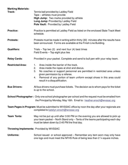| <b>Marking Materials:</b><br>Track:                                                                                                                                        | Tennis ball provided by Laidley Field<br>Tape – athletes must provide<br>High Jump: Two marks provided by athlete<br><b>Long Jump: Provided by Laidley Field</b><br>Pole Vault: Provided by Laidley Field                                                                                                                          |  |  |
|----------------------------------------------------------------------------------------------------------------------------------------------------------------------------|------------------------------------------------------------------------------------------------------------------------------------------------------------------------------------------------------------------------------------------------------------------------------------------------------------------------------------|--|--|
| <b>Practice:</b>                                                                                                                                                           | Practice is permitted at Laidley Field as listed on the enclosed State Track Meet<br>schedule.                                                                                                                                                                                                                                     |  |  |
| <b>Protests:</b>                                                                                                                                                           | Protests must be made in writing within thirty (30) minutes after the results have<br>been announced. Forms are available at the Finish Line Building.                                                                                                                                                                             |  |  |
| <b>Qualifiers:</b>                                                                                                                                                         | Trials – Top two $(2)$ and next four $(4)$ best times<br>Field Events – Top eight plus ties                                                                                                                                                                                                                                        |  |  |
| <b>Relay Cards:</b>                                                                                                                                                        | Provided in your packet. Complete and send to bull pen with your relay team.                                                                                                                                                                                                                                                       |  |  |
| <b>Restricted Area:</b>                                                                                                                                                    | Area inside the barrier of the track.<br>1.<br>Area inside the ropes at shot and discus.<br>2.<br>3.<br>No coaches or support personnel are permitted in restricted area unless<br>given permission by a referee.<br>Removal of any portion of team uniform except shoes in this area could<br>4.<br>result in a disqualification. |  |  |
| <b>Bus Drivers:</b>                                                                                                                                                        | All bus drivers must purchase tickets. The decision as to whom pays for the ticket<br>is up to the school.                                                                                                                                                                                                                         |  |  |
| School Photographer: Only one school photographer per school and the request must be emailed from<br>the Principal by Monday, May 16th. Email to: heather.enoch@wyssac.org |                                                                                                                                                                                                                                                                                                                                    |  |  |
| Team Pages in Program: Must be submitted to WVSSAC office by noon the day after your regionals are<br>completed to katelyn.enoch@wvssac.org                                |                                                                                                                                                                                                                                                                                                                                    |  |  |
| <b>Team Tents:</b>                                                                                                                                                         | May not be put up until after 3:00 PM on the evening you are allowed to pick up<br>your team packet – North Stand only – Tents of the teams participating each day<br>must be taken down by 2:45 PM the final day.                                                                                                                 |  |  |
| <b>Throwing Implements: Provided by WVSSAC</b>                                                                                                                             |                                                                                                                                                                                                                                                                                                                                    |  |  |
| <b>Uniforms:</b>                                                                                                                                                           | School issued or school approved – Remember any item worn may only have<br>one logo and must meet the NFHS Rule of being less than 2 1/4 square inches.                                                                                                                                                                            |  |  |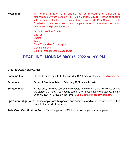**Hotel Info:** An online fillable form should be completed and emailed to stephani.cox@wvssac.org by 1:00 PM on Monday, May 16. Please be specific with the name of the hotel, (i.e. Holiday Inn, Kanawha City, Civic Center or South Charleston). If you do not need rooms, complete the top of the form with the contact information and put NA for rooms.

> Go to the WVSSAC website. Click on: **Sports Track** State Track Meet Rooming List Complete Form Email to: stephani.cox@wvssac.org

# **DEADLINE - MONDAY, MAY 16, 2022 at 1:00 PM**

#### **ONLINE COACHES PACKET**

Rooming List: Complete online prior to 1:00pm on May 16<sup>th.</sup> Email to: stephani.cox@wvssac.org

**Schedule:** Order of Events as listed in **February 2022** Interscholastic

**Scratch Sheet:** Please copy from this packet and complete and return to table near office prior to the start of the meet. You need to submit even if you have no scratches. Simply write **NO SCRATCHES** on the form. **Due by 4:45 PM on day of meet**.

**Sportsmanship Form**: Please copy from this packet and complete and return to table near office prior to the start of the meet.

**Pole Vault Certification Form:** Must be given to PV Judge before you can compete.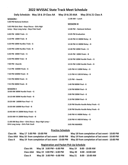## **2022 WVSSAC State Track Meet Schedule**

 $\hat{\boldsymbol{\alpha}}$ 

|                                                                                          | Daily Schedule: May 18 & 19 Class AA |                                                  | May 19 & 20 AAA May 20 & 21 Class A     |  |  |
|------------------------------------------------------------------------------------------|--------------------------------------|--------------------------------------------------|-----------------------------------------|--|--|
| <b>SESSION I</b><br>5:00 PM National Anthem                                              |                                      | $11:00$ AM $-$ Lunch                             |                                         |  |  |
| 5:05 PM Girls Shot - Boys Discus - Girls High<br>Jump - Boys Long Jump - Boys Pole Vault |                                      | <b>SESSION III</b><br>12:00 PM - National Anthem |                                         |  |  |
| $6:00$ PM $100M$ Trials - G                                                              |                                      |                                                  | 12:05 PM Graduation                     |  |  |
| 6:10 PM 100M Trials - B                                                                  |                                      |                                                  | 12:20 PM 4 X 800M Relay - G             |  |  |
| 6:20 PM 100M Hurdles Trials - G                                                          |                                      |                                                  | 12:30 PM 4 X 800M Relay - B             |  |  |
| 6:30 PM 110M Hurdles Trials - B                                                          |                                      | 12:40 PM 100M Finals - G                         |                                         |  |  |
| $6:40$ PM 200M Trials $-$ G                                                              |                                      |                                                  | 12:45 PM 100M Finals - B                |  |  |
| $6:50$ PM 200M Trials - B                                                                |                                      |                                                  | 12:50 PM 100M Hurdle Finals $-$ G       |  |  |
| 7:00 PM -Awards                                                                          |                                      | 12:55 PM 110M Hurdle Finals $- B$                |                                         |  |  |
| 7:15 PM 3200M Finals - G                                                                 |                                      | 1:05 PM 4 X 100M Relay - G                       |                                         |  |  |
| 7:30 PM 3200M Finals - B                                                                 |                                      | 1:15 PM 4 X 100 M Relay - B                      |                                         |  |  |
| 7:45 PM 400M Finals - G                                                                  |                                      | 1:25 PM $-$ Awards                               |                                         |  |  |
| 7:55 PM 400M Finals - B                                                                  |                                      | 1:40 PM 800M Final - G                           |                                         |  |  |
| <b>SESSION II</b><br>10:00 AM 300M Hurdle Finals $-$ G                                   |                                      | 1:50 PM 800M Final $- B$                         |                                         |  |  |
| 10:10 AM 300M Hurdle Finals $- B$                                                        |                                      | $2:00$ PM 200M Final - G                         |                                         |  |  |
| 10:20 AM 1600M Run Final - G                                                             |                                      | $2:10$ PM 200M Final - B                         |                                         |  |  |
| 10:30 AM 1600M Run Final - B                                                             |                                      |                                                  | 2:20 PM Shuttle Hurdle Relay Finals - G |  |  |
| 10:40 AM 4 X 200M Relay Finals - G                                                       |                                      |                                                  | 2:30 PM Shuttle Hurdle Relay Finals - B |  |  |
| 10:50 AM 4 X 200M Relay Finals - B                                                       |                                      | 2:40 PM 4 X 400M Relay - G                       |                                         |  |  |
| 11:00 AM Boys Shot - Girls Discus - Boys High Jump -                                     |                                      | 2:50 PM 4 X 400 M Relay - B                      |                                         |  |  |
| Girls Long Jump - Girls Pole Vault                                                       |                                      | 3:05 PM AWARDS                                   |                                         |  |  |

#### **Practice Schedule**

|                | Class AA   May 17   5:00 PM - 10:00 PM                                                                    | May 18 from completion of last event - 10:00 PM |
|----------------|-----------------------------------------------------------------------------------------------------------|-------------------------------------------------|
|                | Class AAA May 18 from completion of last event - 10:00 PM May 19 from completion of last event - 10:00 PM |                                                 |
| <b>Class A</b> | May 19 from completion of last event - 10:00 PM May 20 from completion of last event - 10:00 PM           |                                                 |

#### **Registration and Packet Pick Up Schedule**

| <b>Class AA</b> | May $18 \cdot 3:00 \text{ PM} - 6:00 \text{ PM}$           | May 19 | 8:00 - 10:00 AM        |
|-----------------|------------------------------------------------------------|--------|------------------------|
|                 | Class AAA May $19 \cdot 3:00 \text{ PM} - 6:00 \text{ PM}$ |        | May 20 8:00 - 10:00 AM |
| Class A         | May 20 $3:00$ PM $-6:00$ PM                                |        | May 21 8:00 - 10:00 AM |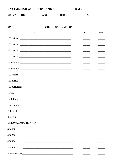| WV STATE HIGH SCHOOL TRACK MEET                                                  |                                                                  | $\begin{tabular}{c} \bf{DATE} \end{tabular}$                                                                                                                                                                                                                                                                                                                                                                                                                               |                                                                                                                                                                                                                                                                                                                                                                                                                                                                            |  |
|----------------------------------------------------------------------------------|------------------------------------------------------------------|----------------------------------------------------------------------------------------------------------------------------------------------------------------------------------------------------------------------------------------------------------------------------------------------------------------------------------------------------------------------------------------------------------------------------------------------------------------------------|----------------------------------------------------------------------------------------------------------------------------------------------------------------------------------------------------------------------------------------------------------------------------------------------------------------------------------------------------------------------------------------------------------------------------------------------------------------------------|--|
| <b>SCRATCH SHEET</b>                                                             |                                                                  | CLASS BOYS GIRLS                                                                                                                                                                                                                                                                                                                                                                                                                                                           |                                                                                                                                                                                                                                                                                                                                                                                                                                                                            |  |
|                                                                                  |                                                                  |                                                                                                                                                                                                                                                                                                                                                                                                                                                                            |                                                                                                                                                                                                                                                                                                                                                                                                                                                                            |  |
| SCHOOL __________________________COACH'S SIGNATURE _____________________________ |                                                                  |                                                                                                                                                                                                                                                                                                                                                                                                                                                                            |                                                                                                                                                                                                                                                                                                                                                                                                                                                                            |  |
| <b>NAME</b>                                                                      |                                                                  | <b>HEAT</b>                                                                                                                                                                                                                                                                                                                                                                                                                                                                | <b>LANE</b>                                                                                                                                                                                                                                                                                                                                                                                                                                                                |  |
|                                                                                  |                                                                  | $\frac{1}{2}$                                                                                                                                                                                                                                                                                                                                                                                                                                                              | $\begin{tabular}{ccccc} \multicolumn{2}{c }{\textbf{1} & \textbf{2} & \textbf{3} & \textbf{4} & \textbf{5} & \textbf{5} & \textbf{6} & \textbf{6} & \textbf{7} & \textbf{8} & \textbf{8} & \textbf{9} & \textbf{10} & \textbf{10} & \textbf{10} & \textbf{10} & \textbf{10} & \textbf{10} & \textbf{10} & \textbf{10} & \textbf{10} & \textbf{10} & \textbf{10} & \textbf{10} & \textbf{10} & \textbf{10} & \textbf{1$                                                     |  |
|                                                                                  |                                                                  | $\begin{tabular}{ccccc} \multicolumn{2}{c }{\textbf{1} & \textbf{2} & \textbf{3} & \textbf{4} & \textbf{5} & \textbf{5} & \textbf{6} & \textbf{6} & \textbf{7} & \textbf{8} & \textbf{8} & \textbf{9} & \textbf{10} & \textbf{10} & \textbf{10} & \textbf{10} & \textbf{10} & \textbf{10} & \textbf{10} & \textbf{10} & \textbf{10} & \textbf{10} & \textbf{10} & \textbf{10} & \textbf{10} & \textbf{10} & \textbf{1$                                                     |                                                                                                                                                                                                                                                                                                                                                                                                                                                                            |  |
|                                                                                  |                                                                  | $\frac{1}{2}$                                                                                                                                                                                                                                                                                                                                                                                                                                                              | $\frac{1}{2} \left( \frac{1}{2} \right) \left( \frac{1}{2} \right) \left( \frac{1}{2} \right) \left( \frac{1}{2} \right) \left( \frac{1}{2} \right) \left( \frac{1}{2} \right) \left( \frac{1}{2} \right) \left( \frac{1}{2} \right) \left( \frac{1}{2} \right) \left( \frac{1}{2} \right) \left( \frac{1}{2} \right) \left( \frac{1}{2} \right) \left( \frac{1}{2} \right) \left( \frac{1}{2} \right) \left( \frac{1}{2} \right) \left( \frac{1}{2} \right) \left( \frac$ |  |
|                                                                                  |                                                                  | $\frac{1}{2} \left( \frac{1}{2} \right) \left( \frac{1}{2} \right) \left( \frac{1}{2} \right) \left( \frac{1}{2} \right) \left( \frac{1}{2} \right) \left( \frac{1}{2} \right) \left( \frac{1}{2} \right) \left( \frac{1}{2} \right) \left( \frac{1}{2} \right) \left( \frac{1}{2} \right) \left( \frac{1}{2} \right) \left( \frac{1}{2} \right) \left( \frac{1}{2} \right) \left( \frac{1}{2} \right) \left( \frac{1}{2} \right) \left( \frac{1}{2} \right) \left( \frac$ | $\frac{1}{2}$                                                                                                                                                                                                                                                                                                                                                                                                                                                              |  |
|                                                                                  |                                                                  | $\frac{1}{2}$                                                                                                                                                                                                                                                                                                                                                                                                                                                              | $\frac{1}{2}$                                                                                                                                                                                                                                                                                                                                                                                                                                                              |  |
|                                                                                  |                                                                  | $\frac{1}{1}$                                                                                                                                                                                                                                                                                                                                                                                                                                                              | $\frac{1}{2} \left( \frac{1}{2} \right) \left( \frac{1}{2} \right) \left( \frac{1}{2} \right) \left( \frac{1}{2} \right) \left( \frac{1}{2} \right) \left( \frac{1}{2} \right) \left( \frac{1}{2} \right) \left( \frac{1}{2} \right) \left( \frac{1}{2} \right) \left( \frac{1}{2} \right) \left( \frac{1}{2} \right) \left( \frac{1}{2} \right) \left( \frac{1}{2} \right) \left( \frac{1}{2} \right) \left( \frac{1}{2} \right) \left( \frac{1}{2} \right) \left( \frac$ |  |
|                                                                                  |                                                                  | $\frac{1}{1}$                                                                                                                                                                                                                                                                                                                                                                                                                                                              | $\frac{1}{2} \left( \frac{1}{2} \right) \left( \frac{1}{2} \right) \left( \frac{1}{2} \right) \left( \frac{1}{2} \right) \left( \frac{1}{2} \right) \left( \frac{1}{2} \right) \left( \frac{1}{2} \right) \left( \frac{1}{2} \right) \left( \frac{1}{2} \right) \left( \frac{1}{2} \right) \left( \frac{1}{2} \right) \left( \frac{1}{2} \right) \left( \frac{1}{2} \right) \left( \frac{1}{2} \right) \left( \frac{1}{2} \right) \left( \frac{1}{2} \right) \left( \frac$ |  |
|                                                                                  |                                                                  | <b>Contract Contract Contract</b>                                                                                                                                                                                                                                                                                                                                                                                                                                          | <b>Contract Contract</b>                                                                                                                                                                                                                                                                                                                                                                                                                                                   |  |
|                                                                                  |                                                                  |                                                                                                                                                                                                                                                                                                                                                                                                                                                                            |                                                                                                                                                                                                                                                                                                                                                                                                                                                                            |  |
|                                                                                  |                                                                  | $\frac{1}{2}$                                                                                                                                                                                                                                                                                                                                                                                                                                                              | $\sim$ 100 $\sim$                                                                                                                                                                                                                                                                                                                                                                                                                                                          |  |
|                                                                                  |                                                                  |                                                                                                                                                                                                                                                                                                                                                                                                                                                                            |                                                                                                                                                                                                                                                                                                                                                                                                                                                                            |  |
|                                                                                  |                                                                  |                                                                                                                                                                                                                                                                                                                                                                                                                                                                            |                                                                                                                                                                                                                                                                                                                                                                                                                                                                            |  |
| Pole Vault                                                                       |                                                                  |                                                                                                                                                                                                                                                                                                                                                                                                                                                                            |                                                                                                                                                                                                                                                                                                                                                                                                                                                                            |  |
|                                                                                  |                                                                  |                                                                                                                                                                                                                                                                                                                                                                                                                                                                            |                                                                                                                                                                                                                                                                                                                                                                                                                                                                            |  |
| <b>RELAY NAME CHANGES</b>                                                        |                                                                  |                                                                                                                                                                                                                                                                                                                                                                                                                                                                            |                                                                                                                                                                                                                                                                                                                                                                                                                                                                            |  |
| 4 X 100                                                                          | <u> 1980 - Jan James, margaret eta idazlear (h. 1980).</u>       |                                                                                                                                                                                                                                                                                                                                                                                                                                                                            |                                                                                                                                                                                                                                                                                                                                                                                                                                                                            |  |
| 4 X 200                                                                          |                                                                  |                                                                                                                                                                                                                                                                                                                                                                                                                                                                            |                                                                                                                                                                                                                                                                                                                                                                                                                                                                            |  |
| 4 X 400                                                                          | <u> 1989 - Johann Stoff, amerikansk politiker (* 1908)</u>       |                                                                                                                                                                                                                                                                                                                                                                                                                                                                            |                                                                                                                                                                                                                                                                                                                                                                                                                                                                            |  |
| 4 X 800                                                                          | <u> 1989 - Johann John Stone, Amerikaansk politiker (* 1958)</u> |                                                                                                                                                                                                                                                                                                                                                                                                                                                                            |                                                                                                                                                                                                                                                                                                                                                                                                                                                                            |  |
| Shuttle Hurdle                                                                   |                                                                  |                                                                                                                                                                                                                                                                                                                                                                                                                                                                            |                                                                                                                                                                                                                                                                                                                                                                                                                                                                            |  |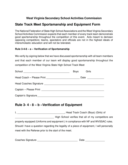### **West Virginia Secondary School Activities Commission**

## **State Track Meet Sportsmanship and Equipment Form**

The National Federation of State High School Associations and the West Virginia Secondary School Activities Commission expects that each member of every track team demonstrate good sportsmanship throughout the competition of this event. Acts meant to demean opposing competitors; teams, spectators and officials are not in the highest ideals of interscholastic education and will not be tolerated.

#### **Rule 3-4-8 – a – Verification of Sportsmanship**

We verify by signing below that we have discussed sportsmanship with all team members and that each member of our team will display good sportsmanship throughout the competition of the West Virginia State High School Track Meet

| School                 | <b>Boys</b> | Girls |
|------------------------|-------------|-------|
|                        |             | Date  |
| Head Coaches Signature |             |       |
| Captain - Please Print |             |       |
| Captain's Signature    |             |       |

## **Rule 3- 4 - 8 – b –Verification of Equipment**

I, \_\_\_\_\_\_\_\_\_\_\_\_\_\_\_\_\_\_\_\_\_\_\_\_\_\_\_\_\_\_\_\_\_\_, Head Track Coach (Boys) (Girls) of High School verifies that all of my competitors are properly equipped (Uniforms and equipment ) in compliance with NF and WVSSAC rules. Should I have a question regarding the legality of a piece of equipment, I will personally meet with the Referee prior to the start of the meet.

| <b>Coaches Signature</b> | Date |
|--------------------------|------|
|                          |      |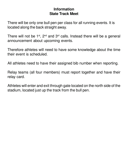## **Information State Track Meet**

There will be only one bull pen per class for all running events. It is located along the back straight away.

There will not be  $1<sup>st</sup>$ ,  $2<sup>nd</sup>$  and  $3<sup>rd</sup>$  calls. Instead there will be a general announcement about upcoming events.

Therefore athletes will need to have some knowledge about the time their event is scheduled.

All athletes need to have their assigned bib number when reporting.

Relay teams (all four members) must report together and have their relay card.

Athletes will enter and exit through gate located on the north side of the stadium, located just up the track from the bull pen.